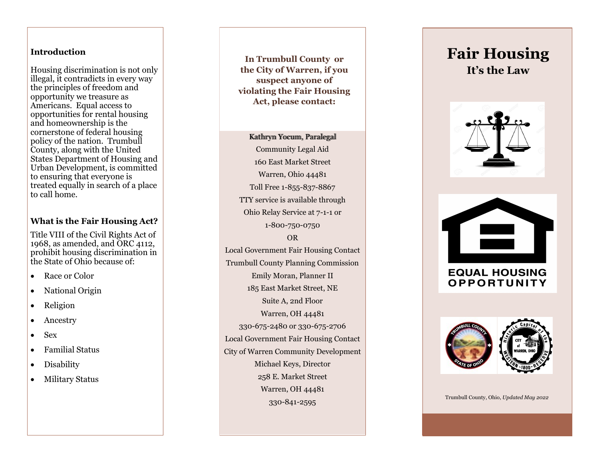## **Introduction**

Housing discrimination is not only illegal, it contradicts in every way the principles of freedom and opportunity we treasure as Americans. Equal access to opportunities for rental housing and homeownership is the cornerstone of federal housing policy of the nation. Trumbull County, along with the United States Department of Housing and Urban Development, is committed to ensuring that everyone is treated equally in search of a place to call home.

## **What is the Fair Housing Act?**

Title VIII of the Civil Rights Act of 1968, as amended, and ORC 4112, prohibit housing discrimination in the State of Ohio because of:

- Race or Color
- National Origin
- Religion
- Ancestry
- Sex
- Familial Status
- Disability
- Military Status

**In Trumbull County or the City of Warren, if you suspect anyone of violating the Fair Housing Act, please contact:**

## Kathryn Yocum, Paralegal Community Legal Aid 160 East Market Street Warren, Ohio 44481 Toll Free 1 -855 -837 -8867 TTY service is available through Ohio Relay Service at 7 - 1 -1 or 1 -800 -750 -0750 OR Local Government Fair Housing Contact Trumbull County Planning Commission Emily Moran, Planner II 185 East Market Street, NE Suite A, 2nd Floor Warren, OH 44481 330 -675 -2480 or 330 -675 -2706 Local Government Fair Housing Contact City of Warren Community Development Michael Keys, Director 258 E. Market Street Warren, OH 44481 330 -841 -2595

# **Fair Housing It 's the Law**







Trumbull County, Ohio, *Updated May 2022*